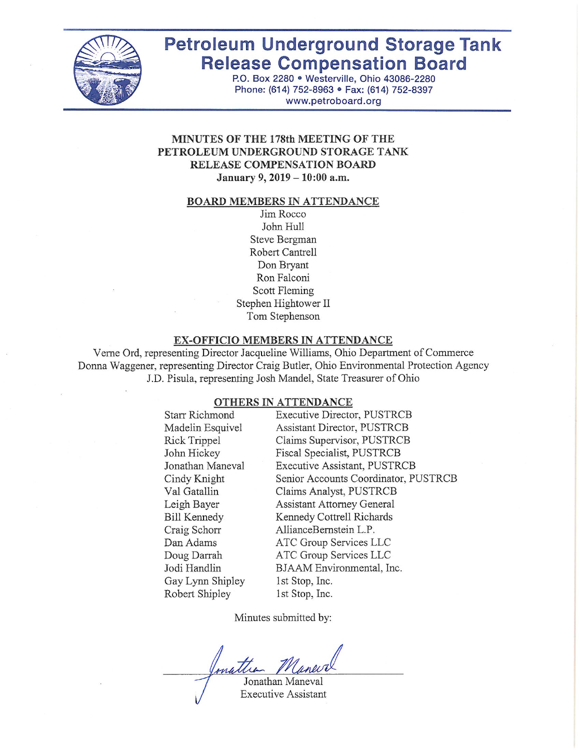

# **Petroleum Underground Storage Tank Release Compensation Board**

P.O. Box 2280 · Westerville, Ohio 43086-2280 Phone: (614) 752-8963 · Fax: (614) 752-8397 www.petroboard.org

#### MINUTES OF THE 178th MEETING OF THE PETROLEUM UNDERGROUND STORAGE TANK RELEASE COMPENSATION BOARD January 9, 2019 - 10:00 a.m.

#### **BOARD MEMBERS IN ATTENDANCE**

Jim Rocco John Hull Steve Bergman Robert Cantrell Don Bryant Ron Falconi Scott Fleming Stephen Hightower II Tom Stephenson

#### EX-OFFICIO MEMBERS IN ATTENDANCE

Verne Ord, representing Director Jacqueline Williams, Ohio Department of Commerce Donna Waggener, representing Director Craig Butler, Ohio Environmental Protection Agency J.D. Pisula, representing Josh Mandel, State Treasurer of Ohio

#### OTHERS IN ATTENDANCE

| <b>Starr Richmond</b> | <b>Executive Director, PUSTRCB</b>   |
|-----------------------|--------------------------------------|
| Madelin Esquivel      | Assistant Director, PUSTRCB          |
| Rick Trippel          | Claims Supervisor, PUSTRCB           |
| John Hickey           | Fiscal Specialist, PUSTRCB           |
| Jonathan Maneval      | Executive Assistant, PUSTRCB         |
| Cindy Knight          | Senior Accounts Coordinator, PUSTRCB |
| Val Gatallin          | Claims Analyst, PUSTRCB              |
| Leigh Bayer           | <b>Assistant Attorney General</b>    |
| <b>Bill Kennedy</b>   | Kennedy Cottrell Richards            |
| Craig Schorr          | AllianceBernstein L.P.               |
| Dan Adams             | ATC Group Services LLC               |
| Doug Darrah           | ATC Group Services LLC               |
| Jodi Handlin          | BJAAM Environmental, Inc.            |
| Gay Lynn Shipley      | 1st Stop, Inc.                       |
| Robert Shipley        | 1st Stop, Inc.                       |
|                       |                                      |

Minutes submitted by:

nattia

Jonathan Maneval **Executive Assistant**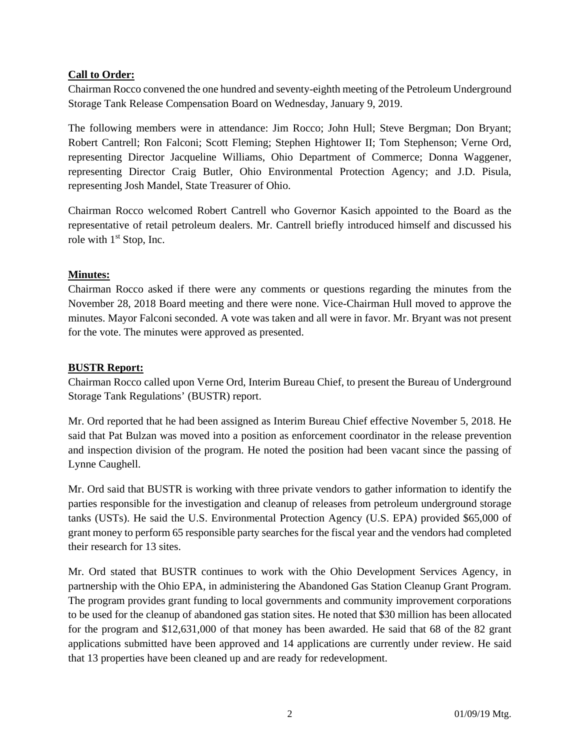# **Call to Order:**

Chairman Rocco convened the one hundred and seventy-eighth meeting of the Petroleum Underground Storage Tank Release Compensation Board on Wednesday, January 9, 2019.

The following members were in attendance: Jim Rocco; John Hull; Steve Bergman; Don Bryant; Robert Cantrell; Ron Falconi; Scott Fleming; Stephen Hightower II; Tom Stephenson; Verne Ord, representing Director Jacqueline Williams, Ohio Department of Commerce; Donna Waggener, representing Director Craig Butler, Ohio Environmental Protection Agency; and J.D. Pisula, representing Josh Mandel, State Treasurer of Ohio.

Chairman Rocco welcomed Robert Cantrell who Governor Kasich appointed to the Board as the representative of retail petroleum dealers. Mr. Cantrell briefly introduced himself and discussed his role with  $1<sup>st</sup>$  Stop, Inc.

# **Minutes:**

Chairman Rocco asked if there were any comments or questions regarding the minutes from the November 28, 2018 Board meeting and there were none. Vice-Chairman Hull moved to approve the minutes. Mayor Falconi seconded. A vote was taken and all were in favor. Mr. Bryant was not present for the vote. The minutes were approved as presented.

# **BUSTR Report:**

Chairman Rocco called upon Verne Ord, Interim Bureau Chief, to present the Bureau of Underground Storage Tank Regulations' (BUSTR) report.

Mr. Ord reported that he had been assigned as Interim Bureau Chief effective November 5, 2018. He said that Pat Bulzan was moved into a position as enforcement coordinator in the release prevention and inspection division of the program. He noted the position had been vacant since the passing of Lynne Caughell.

Mr. Ord said that BUSTR is working with three private vendors to gather information to identify the parties responsible for the investigation and cleanup of releases from petroleum underground storage tanks (USTs). He said the U.S. Environmental Protection Agency (U.S. EPA) provided \$65,000 of grant money to perform 65 responsible party searches for the fiscal year and the vendors had completed their research for 13 sites.

Mr. Ord stated that BUSTR continues to work with the Ohio Development Services Agency, in partnership with the Ohio EPA, in administering the Abandoned Gas Station Cleanup Grant Program. The program provides grant funding to local governments and community improvement corporations to be used for the cleanup of abandoned gas station sites. He noted that \$30 million has been allocated for the program and \$12,631,000 of that money has been awarded. He said that 68 of the 82 grant applications submitted have been approved and 14 applications are currently under review. He said that 13 properties have been cleaned up and are ready for redevelopment.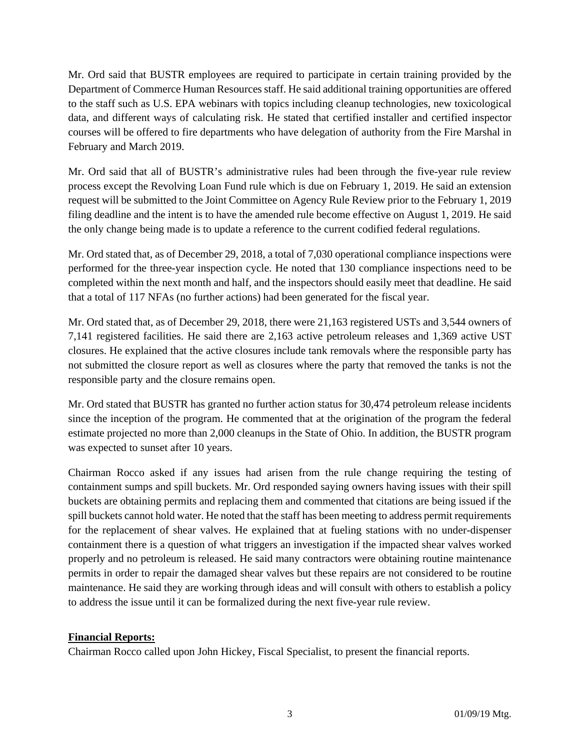Mr. Ord said that BUSTR employees are required to participate in certain training provided by the Department of Commerce Human Resources staff. He said additional training opportunities are offered to the staff such as U.S. EPA webinars with topics including cleanup technologies, new toxicological data, and different ways of calculating risk. He stated that certified installer and certified inspector courses will be offered to fire departments who have delegation of authority from the Fire Marshal in February and March 2019.

Mr. Ord said that all of BUSTR's administrative rules had been through the five-year rule review process except the Revolving Loan Fund rule which is due on February 1, 2019. He said an extension request will be submitted to the Joint Committee on Agency Rule Review prior to the February 1, 2019 filing deadline and the intent is to have the amended rule become effective on August 1, 2019. He said the only change being made is to update a reference to the current codified federal regulations.

Mr. Ord stated that, as of December 29, 2018, a total of 7,030 operational compliance inspections were performed for the three-year inspection cycle. He noted that 130 compliance inspections need to be completed within the next month and half, and the inspectors should easily meet that deadline. He said that a total of 117 NFAs (no further actions) had been generated for the fiscal year.

Mr. Ord stated that, as of December 29, 2018, there were 21,163 registered USTs and 3,544 owners of 7,141 registered facilities. He said there are 2,163 active petroleum releases and 1,369 active UST closures. He explained that the active closures include tank removals where the responsible party has not submitted the closure report as well as closures where the party that removed the tanks is not the responsible party and the closure remains open.

Mr. Ord stated that BUSTR has granted no further action status for 30,474 petroleum release incidents since the inception of the program. He commented that at the origination of the program the federal estimate projected no more than 2,000 cleanups in the State of Ohio. In addition, the BUSTR program was expected to sunset after 10 years.

Chairman Rocco asked if any issues had arisen from the rule change requiring the testing of containment sumps and spill buckets. Mr. Ord responded saying owners having issues with their spill buckets are obtaining permits and replacing them and commented that citations are being issued if the spill buckets cannot hold water. He noted that the staff has been meeting to address permit requirements for the replacement of shear valves. He explained that at fueling stations with no under-dispenser containment there is a question of what triggers an investigation if the impacted shear valves worked properly and no petroleum is released. He said many contractors were obtaining routine maintenance permits in order to repair the damaged shear valves but these repairs are not considered to be routine maintenance. He said they are working through ideas and will consult with others to establish a policy to address the issue until it can be formalized during the next five-year rule review.

# **Financial Reports:**

Chairman Rocco called upon John Hickey, Fiscal Specialist, to present the financial reports.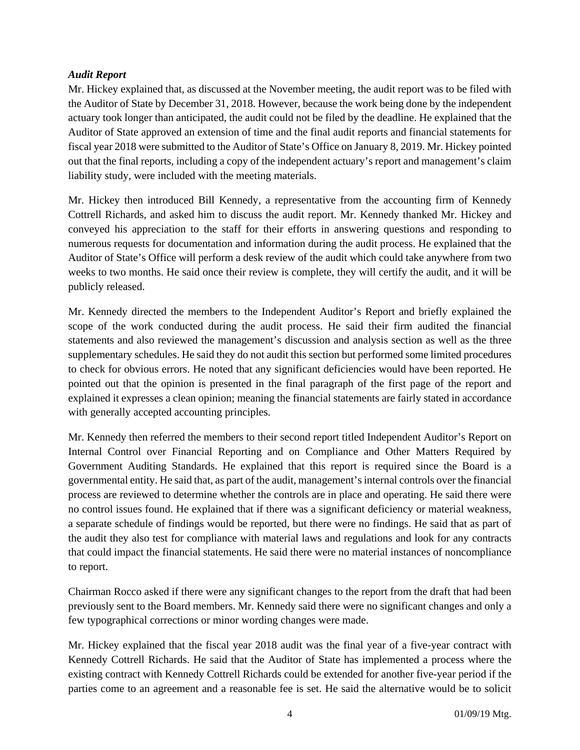# *Audit Report*

Mr. Hickey explained that, as discussed at the November meeting, the audit report was to be filed with the Auditor of State by December 31, 2018. However, because the work being done by the independent actuary took longer than anticipated, the audit could not be filed by the deadline. He explained that the Auditor of State approved an extension of time and the final audit reports and financial statements for fiscal year 2018 were submitted to the Auditor of State's Office on January 8, 2019. Mr. Hickey pointed out that the final reports, including a copy of the independent actuary's report and management's claim liability study, were included with the meeting materials.

Mr. Hickey then introduced Bill Kennedy, a representative from the accounting firm of Kennedy Cottrell Richards, and asked him to discuss the audit report. Mr. Kennedy thanked Mr. Hickey and conveyed his appreciation to the staff for their efforts in answering questions and responding to numerous requests for documentation and information during the audit process. He explained that the Auditor of State's Office will perform a desk review of the audit which could take anywhere from two weeks to two months. He said once their review is complete, they will certify the audit, and it will be publicly released.

Mr. Kennedy directed the members to the Independent Auditor's Report and briefly explained the scope of the work conducted during the audit process. He said their firm audited the financial statements and also reviewed the management's discussion and analysis section as well as the three supplementary schedules. He said they do not audit this section but performed some limited procedures to check for obvious errors. He noted that any significant deficiencies would have been reported. He pointed out that the opinion is presented in the final paragraph of the first page of the report and explained it expresses a clean opinion; meaning the financial statements are fairly stated in accordance with generally accepted accounting principles.

Mr. Kennedy then referred the members to their second report titled Independent Auditor's Report on Internal Control over Financial Reporting and on Compliance and Other Matters Required by Government Auditing Standards. He explained that this report is required since the Board is a governmental entity. He said that, as part of the audit, management's internal controls over the financial process are reviewed to determine whether the controls are in place and operating. He said there were no control issues found. He explained that if there was a significant deficiency or material weakness, a separate schedule of findings would be reported, but there were no findings. He said that as part of the audit they also test for compliance with material laws and regulations and look for any contracts that could impact the financial statements. He said there were no material instances of noncompliance to report.

Chairman Rocco asked if there were any significant changes to the report from the draft that had been previously sent to the Board members. Mr. Kennedy said there were no significant changes and only a few typographical corrections or minor wording changes were made.

Mr. Hickey explained that the fiscal year 2018 audit was the final year of a five-year contract with Kennedy Cottrell Richards. He said that the Auditor of State has implemented a process where the existing contract with Kennedy Cottrell Richards could be extended for another five-year period if the parties come to an agreement and a reasonable fee is set. He said the alternative would be to solicit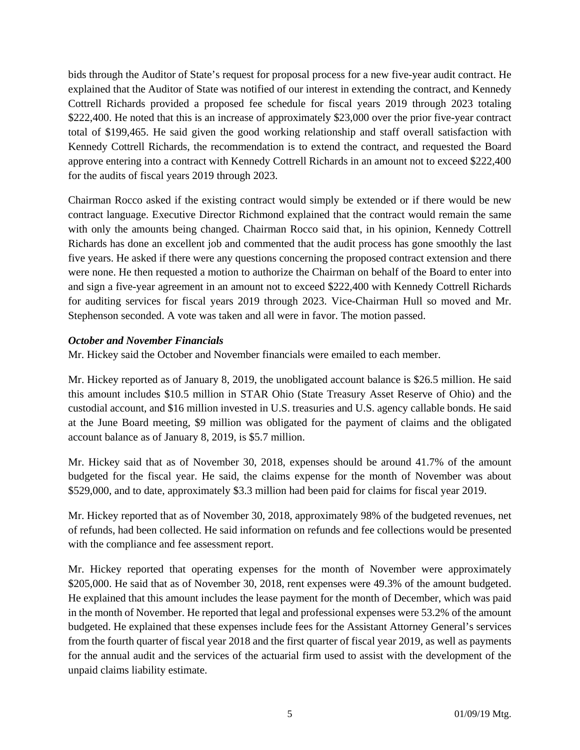bids through the Auditor of State's request for proposal process for a new five-year audit contract. He explained that the Auditor of State was notified of our interest in extending the contract, and Kennedy Cottrell Richards provided a proposed fee schedule for fiscal years 2019 through 2023 totaling \$222,400. He noted that this is an increase of approximately \$23,000 over the prior five-year contract total of \$199,465. He said given the good working relationship and staff overall satisfaction with Kennedy Cottrell Richards, the recommendation is to extend the contract, and requested the Board approve entering into a contract with Kennedy Cottrell Richards in an amount not to exceed \$222,400 for the audits of fiscal years 2019 through 2023.

Chairman Rocco asked if the existing contract would simply be extended or if there would be new contract language. Executive Director Richmond explained that the contract would remain the same with only the amounts being changed. Chairman Rocco said that, in his opinion, Kennedy Cottrell Richards has done an excellent job and commented that the audit process has gone smoothly the last five years. He asked if there were any questions concerning the proposed contract extension and there were none. He then requested a motion to authorize the Chairman on behalf of the Board to enter into and sign a five-year agreement in an amount not to exceed \$222,400 with Kennedy Cottrell Richards for auditing services for fiscal years 2019 through 2023. Vice-Chairman Hull so moved and Mr. Stephenson seconded. A vote was taken and all were in favor. The motion passed.

# *October and November Financials*

Mr. Hickey said the October and November financials were emailed to each member.

Mr. Hickey reported as of January 8, 2019, the unobligated account balance is \$26.5 million. He said this amount includes \$10.5 million in STAR Ohio (State Treasury Asset Reserve of Ohio) and the custodial account, and \$16 million invested in U.S. treasuries and U.S. agency callable bonds. He said at the June Board meeting, \$9 million was obligated for the payment of claims and the obligated account balance as of January 8, 2019, is \$5.7 million.

Mr. Hickey said that as of November 30, 2018, expenses should be around 41.7% of the amount budgeted for the fiscal year. He said, the claims expense for the month of November was about \$529,000, and to date, approximately \$3.3 million had been paid for claims for fiscal year 2019.

Mr. Hickey reported that as of November 30, 2018, approximately 98% of the budgeted revenues, net of refunds, had been collected. He said information on refunds and fee collections would be presented with the compliance and fee assessment report.

Mr. Hickey reported that operating expenses for the month of November were approximately \$205,000. He said that as of November 30, 2018, rent expenses were 49.3% of the amount budgeted. He explained that this amount includes the lease payment for the month of December, which was paid in the month of November. He reported that legal and professional expenses were 53.2% of the amount budgeted. He explained that these expenses include fees for the Assistant Attorney General's services from the fourth quarter of fiscal year 2018 and the first quarter of fiscal year 2019, as well as payments for the annual audit and the services of the actuarial firm used to assist with the development of the unpaid claims liability estimate.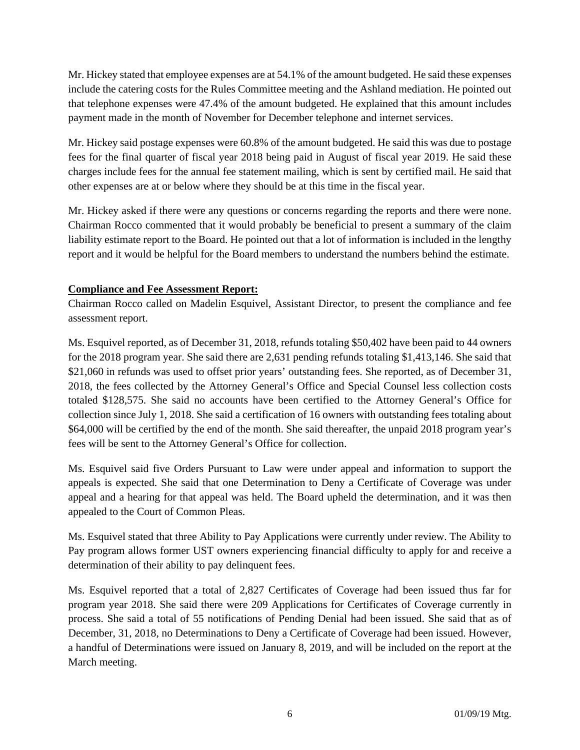Mr. Hickey stated that employee expenses are at 54.1% of the amount budgeted. He said these expenses include the catering costs for the Rules Committee meeting and the Ashland mediation. He pointed out that telephone expenses were 47.4% of the amount budgeted. He explained that this amount includes payment made in the month of November for December telephone and internet services.

Mr. Hickey said postage expenses were 60.8% of the amount budgeted. He said this was due to postage fees for the final quarter of fiscal year 2018 being paid in August of fiscal year 2019. He said these charges include fees for the annual fee statement mailing, which is sent by certified mail. He said that other expenses are at or below where they should be at this time in the fiscal year.

Mr. Hickey asked if there were any questions or concerns regarding the reports and there were none. Chairman Rocco commented that it would probably be beneficial to present a summary of the claim liability estimate report to the Board. He pointed out that a lot of information is included in the lengthy report and it would be helpful for the Board members to understand the numbers behind the estimate.

# **Compliance and Fee Assessment Report:**

Chairman Rocco called on Madelin Esquivel, Assistant Director, to present the compliance and fee assessment report.

Ms. Esquivel reported, as of December 31, 2018, refunds totaling \$50,402 have been paid to 44 owners for the 2018 program year. She said there are 2,631 pending refunds totaling \$1,413,146. She said that \$21,060 in refunds was used to offset prior years' outstanding fees. She reported, as of December 31, 2018, the fees collected by the Attorney General's Office and Special Counsel less collection costs totaled \$128,575. She said no accounts have been certified to the Attorney General's Office for collection since July 1, 2018. She said a certification of 16 owners with outstanding fees totaling about \$64,000 will be certified by the end of the month. She said thereafter, the unpaid 2018 program year's fees will be sent to the Attorney General's Office for collection.

Ms. Esquivel said five Orders Pursuant to Law were under appeal and information to support the appeals is expected. She said that one Determination to Deny a Certificate of Coverage was under appeal and a hearing for that appeal was held. The Board upheld the determination, and it was then appealed to the Court of Common Pleas.

Ms. Esquivel stated that three Ability to Pay Applications were currently under review. The Ability to Pay program allows former UST owners experiencing financial difficulty to apply for and receive a determination of their ability to pay delinquent fees.

Ms. Esquivel reported that a total of 2,827 Certificates of Coverage had been issued thus far for program year 2018. She said there were 209 Applications for Certificates of Coverage currently in process. She said a total of 55 notifications of Pending Denial had been issued. She said that as of December, 31, 2018, no Determinations to Deny a Certificate of Coverage had been issued. However, a handful of Determinations were issued on January 8, 2019, and will be included on the report at the March meeting.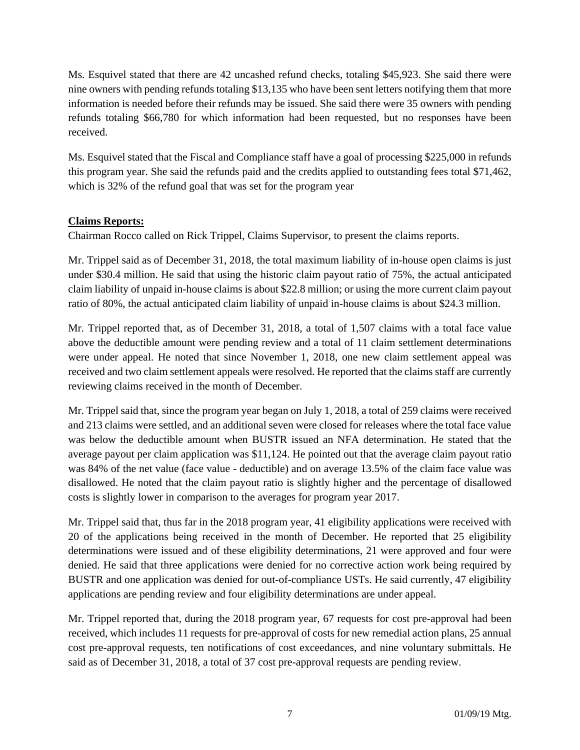Ms. Esquivel stated that there are 42 uncashed refund checks, totaling \$45,923. She said there were nine owners with pending refunds totaling \$13,135 who have been sent letters notifying them that more information is needed before their refunds may be issued. She said there were 35 owners with pending refunds totaling \$66,780 for which information had been requested, but no responses have been received.

Ms. Esquivel stated that the Fiscal and Compliance staff have a goal of processing \$225,000 in refunds this program year. She said the refunds paid and the credits applied to outstanding fees total \$71,462, which is 32% of the refund goal that was set for the program year

# **Claims Reports:**

Chairman Rocco called on Rick Trippel, Claims Supervisor, to present the claims reports.

Mr. Trippel said as of December 31, 2018, the total maximum liability of in-house open claims is just under \$30.4 million. He said that using the historic claim payout ratio of 75%, the actual anticipated claim liability of unpaid in-house claims is about \$22.8 million; or using the more current claim payout ratio of 80%, the actual anticipated claim liability of unpaid in-house claims is about \$24.3 million.

Mr. Trippel reported that, as of December 31, 2018, a total of 1,507 claims with a total face value above the deductible amount were pending review and a total of 11 claim settlement determinations were under appeal. He noted that since November 1, 2018, one new claim settlement appeal was received and two claim settlement appeals were resolved. He reported that the claims staff are currently reviewing claims received in the month of December.

Mr. Trippel said that, since the program year began on July 1, 2018, a total of 259 claims were received and 213 claims were settled, and an additional seven were closed for releases where the total face value was below the deductible amount when BUSTR issued an NFA determination. He stated that the average payout per claim application was \$11,124. He pointed out that the average claim payout ratio was 84% of the net value (face value - deductible) and on average 13.5% of the claim face value was disallowed. He noted that the claim payout ratio is slightly higher and the percentage of disallowed costs is slightly lower in comparison to the averages for program year 2017.

Mr. Trippel said that, thus far in the 2018 program year, 41 eligibility applications were received with 20 of the applications being received in the month of December. He reported that 25 eligibility determinations were issued and of these eligibility determinations, 21 were approved and four were denied. He said that three applications were denied for no corrective action work being required by BUSTR and one application was denied for out-of-compliance USTs. He said currently, 47 eligibility applications are pending review and four eligibility determinations are under appeal.

Mr. Trippel reported that, during the 2018 program year, 67 requests for cost pre-approval had been received, which includes 11 requests for pre-approval of costs for new remedial action plans, 25 annual cost pre-approval requests, ten notifications of cost exceedances, and nine voluntary submittals. He said as of December 31, 2018, a total of 37 cost pre-approval requests are pending review.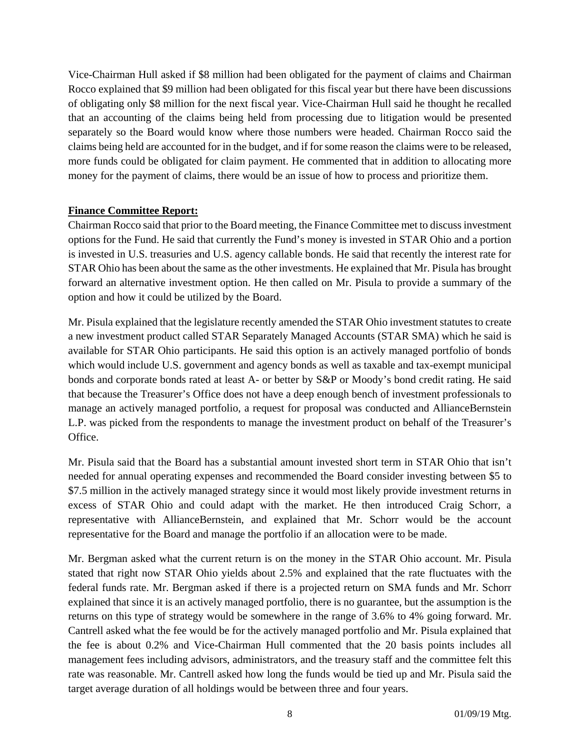Vice-Chairman Hull asked if \$8 million had been obligated for the payment of claims and Chairman Rocco explained that \$9 million had been obligated for this fiscal year but there have been discussions of obligating only \$8 million for the next fiscal year. Vice-Chairman Hull said he thought he recalled that an accounting of the claims being held from processing due to litigation would be presented separately so the Board would know where those numbers were headed. Chairman Rocco said the claims being held are accounted for in the budget, and if for some reason the claims were to be released, more funds could be obligated for claim payment. He commented that in addition to allocating more money for the payment of claims, there would be an issue of how to process and prioritize them.

# **Finance Committee Report:**

Chairman Rocco said that prior to the Board meeting, the Finance Committee met to discuss investment options for the Fund. He said that currently the Fund's money is invested in STAR Ohio and a portion is invested in U.S. treasuries and U.S. agency callable bonds. He said that recently the interest rate for STAR Ohio has been about the same as the other investments. He explained that Mr. Pisula has brought forward an alternative investment option. He then called on Mr. Pisula to provide a summary of the option and how it could be utilized by the Board.

Mr. Pisula explained that the legislature recently amended the STAR Ohio investment statutes to create a new investment product called STAR Separately Managed Accounts (STAR SMA) which he said is available for STAR Ohio participants. He said this option is an actively managed portfolio of bonds which would include U.S. government and agency bonds as well as taxable and tax-exempt municipal bonds and corporate bonds rated at least A- or better by S&P or Moody's bond credit rating. He said that because the Treasurer's Office does not have a deep enough bench of investment professionals to manage an actively managed portfolio, a request for proposal was conducted and AllianceBernstein L.P. was picked from the respondents to manage the investment product on behalf of the Treasurer's Office.

Mr. Pisula said that the Board has a substantial amount invested short term in STAR Ohio that isn't needed for annual operating expenses and recommended the Board consider investing between \$5 to \$7.5 million in the actively managed strategy since it would most likely provide investment returns in excess of STAR Ohio and could adapt with the market. He then introduced Craig Schorr, a representative with AllianceBernstein, and explained that Mr. Schorr would be the account representative for the Board and manage the portfolio if an allocation were to be made.

Mr. Bergman asked what the current return is on the money in the STAR Ohio account. Mr. Pisula stated that right now STAR Ohio yields about 2.5% and explained that the rate fluctuates with the federal funds rate. Mr. Bergman asked if there is a projected return on SMA funds and Mr. Schorr explained that since it is an actively managed portfolio, there is no guarantee, but the assumption is the returns on this type of strategy would be somewhere in the range of 3.6% to 4% going forward. Mr. Cantrell asked what the fee would be for the actively managed portfolio and Mr. Pisula explained that the fee is about 0.2% and Vice-Chairman Hull commented that the 20 basis points includes all management fees including advisors, administrators, and the treasury staff and the committee felt this rate was reasonable. Mr. Cantrell asked how long the funds would be tied up and Mr. Pisula said the target average duration of all holdings would be between three and four years.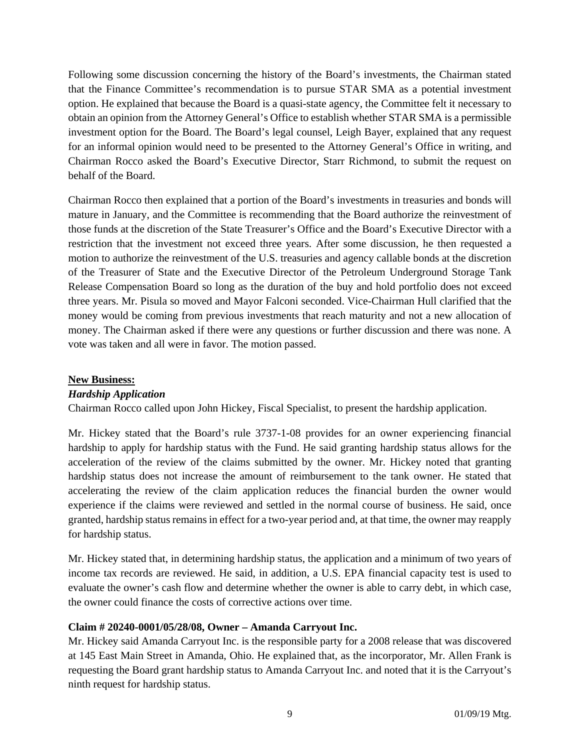Following some discussion concerning the history of the Board's investments, the Chairman stated that the Finance Committee's recommendation is to pursue STAR SMA as a potential investment option. He explained that because the Board is a quasi-state agency, the Committee felt it necessary to obtain an opinion from the Attorney General's Office to establish whether STAR SMA is a permissible investment option for the Board. The Board's legal counsel, Leigh Bayer, explained that any request for an informal opinion would need to be presented to the Attorney General's Office in writing, and Chairman Rocco asked the Board's Executive Director, Starr Richmond, to submit the request on behalf of the Board.

Chairman Rocco then explained that a portion of the Board's investments in treasuries and bonds will mature in January, and the Committee is recommending that the Board authorize the reinvestment of those funds at the discretion of the State Treasurer's Office and the Board's Executive Director with a restriction that the investment not exceed three years. After some discussion, he then requested a motion to authorize the reinvestment of the U.S. treasuries and agency callable bonds at the discretion of the Treasurer of State and the Executive Director of the Petroleum Underground Storage Tank Release Compensation Board so long as the duration of the buy and hold portfolio does not exceed three years. Mr. Pisula so moved and Mayor Falconi seconded. Vice-Chairman Hull clarified that the money would be coming from previous investments that reach maturity and not a new allocation of money. The Chairman asked if there were any questions or further discussion and there was none. A vote was taken and all were in favor. The motion passed.

# **New Business:**

# *Hardship Application*

Chairman Rocco called upon John Hickey, Fiscal Specialist, to present the hardship application.

Mr. Hickey stated that the Board's rule 3737-1-08 provides for an owner experiencing financial hardship to apply for hardship status with the Fund. He said granting hardship status allows for the acceleration of the review of the claims submitted by the owner. Mr. Hickey noted that granting hardship status does not increase the amount of reimbursement to the tank owner. He stated that accelerating the review of the claim application reduces the financial burden the owner would experience if the claims were reviewed and settled in the normal course of business. He said, once granted, hardship status remains in effect for a two-year period and, at that time, the owner may reapply for hardship status.

Mr. Hickey stated that, in determining hardship status, the application and a minimum of two years of income tax records are reviewed. He said, in addition, a U.S. EPA financial capacity test is used to evaluate the owner's cash flow and determine whether the owner is able to carry debt, in which case, the owner could finance the costs of corrective actions over time.

# **Claim # 20240-0001/05/28/08, Owner – Amanda Carryout Inc.**

Mr. Hickey said Amanda Carryout Inc. is the responsible party for a 2008 release that was discovered at 145 East Main Street in Amanda, Ohio. He explained that, as the incorporator, Mr. Allen Frank is requesting the Board grant hardship status to Amanda Carryout Inc. and noted that it is the Carryout's ninth request for hardship status.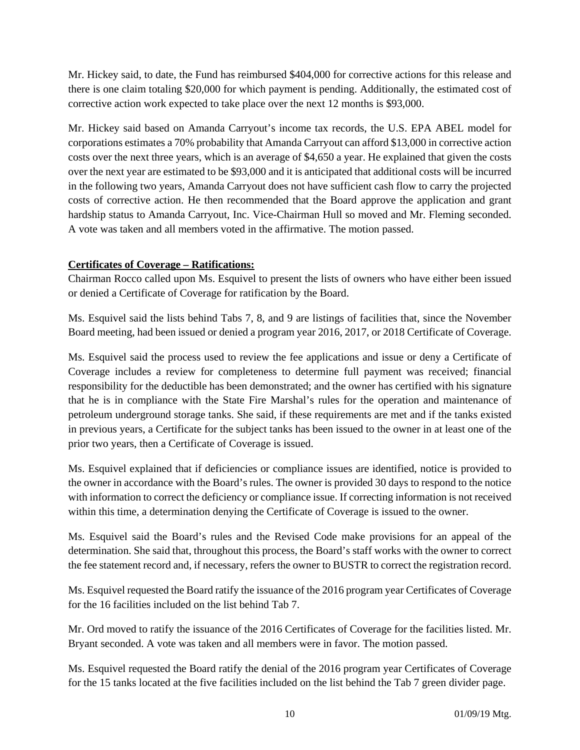Mr. Hickey said, to date, the Fund has reimbursed \$404,000 for corrective actions for this release and there is one claim totaling \$20,000 for which payment is pending. Additionally, the estimated cost of corrective action work expected to take place over the next 12 months is \$93,000.

Mr. Hickey said based on Amanda Carryout's income tax records, the U.S. EPA ABEL model for corporations estimates a 70% probability that Amanda Carryout can afford \$13,000 in corrective action costs over the next three years, which is an average of \$4,650 a year. He explained that given the costs over the next year are estimated to be \$93,000 and it is anticipated that additional costs will be incurred in the following two years, Amanda Carryout does not have sufficient cash flow to carry the projected costs of corrective action. He then recommended that the Board approve the application and grant hardship status to Amanda Carryout, Inc. Vice-Chairman Hull so moved and Mr. Fleming seconded. A vote was taken and all members voted in the affirmative. The motion passed.

# **Certificates of Coverage – Ratifications:**

Chairman Rocco called upon Ms. Esquivel to present the lists of owners who have either been issued or denied a Certificate of Coverage for ratification by the Board.

Ms. Esquivel said the lists behind Tabs 7, 8, and 9 are listings of facilities that, since the November Board meeting, had been issued or denied a program year 2016, 2017, or 2018 Certificate of Coverage.

Ms. Esquivel said the process used to review the fee applications and issue or deny a Certificate of Coverage includes a review for completeness to determine full payment was received; financial responsibility for the deductible has been demonstrated; and the owner has certified with his signature that he is in compliance with the State Fire Marshal's rules for the operation and maintenance of petroleum underground storage tanks. She said, if these requirements are met and if the tanks existed in previous years, a Certificate for the subject tanks has been issued to the owner in at least one of the prior two years, then a Certificate of Coverage is issued.

Ms. Esquivel explained that if deficiencies or compliance issues are identified, notice is provided to the owner in accordance with the Board's rules. The owner is provided 30 days to respond to the notice with information to correct the deficiency or compliance issue. If correcting information is not received within this time, a determination denying the Certificate of Coverage is issued to the owner.

Ms. Esquivel said the Board's rules and the Revised Code make provisions for an appeal of the determination. She said that, throughout this process, the Board's staff works with the owner to correct the fee statement record and, if necessary, refers the owner to BUSTR to correct the registration record.

Ms. Esquivel requested the Board ratify the issuance of the 2016 program year Certificates of Coverage for the 16 facilities included on the list behind Tab 7.

Mr. Ord moved to ratify the issuance of the 2016 Certificates of Coverage for the facilities listed. Mr. Bryant seconded. A vote was taken and all members were in favor. The motion passed.

Ms. Esquivel requested the Board ratify the denial of the 2016 program year Certificates of Coverage for the 15 tanks located at the five facilities included on the list behind the Tab 7 green divider page.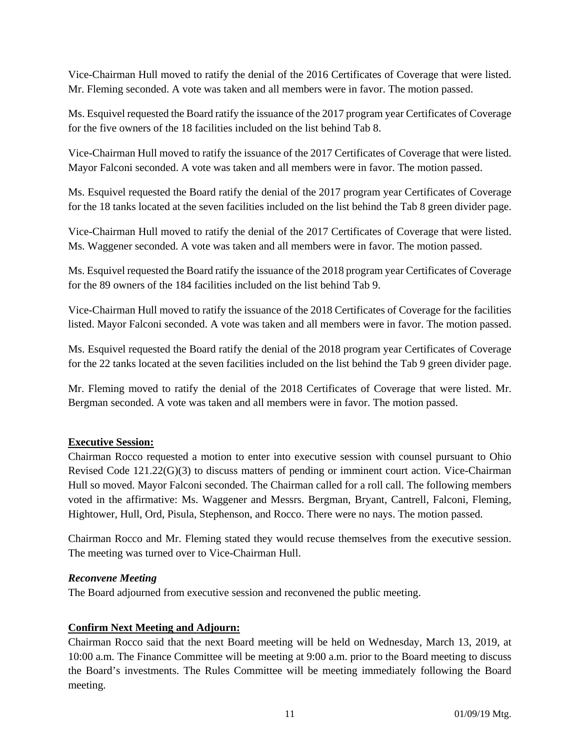Vice-Chairman Hull moved to ratify the denial of the 2016 Certificates of Coverage that were listed. Mr. Fleming seconded. A vote was taken and all members were in favor. The motion passed.

Ms. Esquivel requested the Board ratify the issuance of the 2017 program year Certificates of Coverage for the five owners of the 18 facilities included on the list behind Tab 8.

Vice-Chairman Hull moved to ratify the issuance of the 2017 Certificates of Coverage that were listed. Mayor Falconi seconded. A vote was taken and all members were in favor. The motion passed.

Ms. Esquivel requested the Board ratify the denial of the 2017 program year Certificates of Coverage for the 18 tanks located at the seven facilities included on the list behind the Tab 8 green divider page.

Vice-Chairman Hull moved to ratify the denial of the 2017 Certificates of Coverage that were listed. Ms. Waggener seconded. A vote was taken and all members were in favor. The motion passed.

Ms. Esquivel requested the Board ratify the issuance of the 2018 program year Certificates of Coverage for the 89 owners of the 184 facilities included on the list behind Tab 9.

Vice-Chairman Hull moved to ratify the issuance of the 2018 Certificates of Coverage for the facilities listed. Mayor Falconi seconded. A vote was taken and all members were in favor. The motion passed.

Ms. Esquivel requested the Board ratify the denial of the 2018 program year Certificates of Coverage for the 22 tanks located at the seven facilities included on the list behind the Tab 9 green divider page.

Mr. Fleming moved to ratify the denial of the 2018 Certificates of Coverage that were listed. Mr. Bergman seconded. A vote was taken and all members were in favor. The motion passed.

# **Executive Session:**

Chairman Rocco requested a motion to enter into executive session with counsel pursuant to Ohio Revised Code 121.22(G)(3) to discuss matters of pending or imminent court action. Vice-Chairman Hull so moved. Mayor Falconi seconded. The Chairman called for a roll call. The following members voted in the affirmative: Ms. Waggener and Messrs. Bergman, Bryant, Cantrell, Falconi, Fleming, Hightower, Hull, Ord, Pisula, Stephenson, and Rocco. There were no nays. The motion passed.

Chairman Rocco and Mr. Fleming stated they would recuse themselves from the executive session. The meeting was turned over to Vice-Chairman Hull.

# *Reconvene Meeting*

The Board adjourned from executive session and reconvened the public meeting.

# **Confirm Next Meeting and Adjourn:**

Chairman Rocco said that the next Board meeting will be held on Wednesday, March 13, 2019, at 10:00 a.m. The Finance Committee will be meeting at 9:00 a.m. prior to the Board meeting to discuss the Board's investments. The Rules Committee will be meeting immediately following the Board meeting.